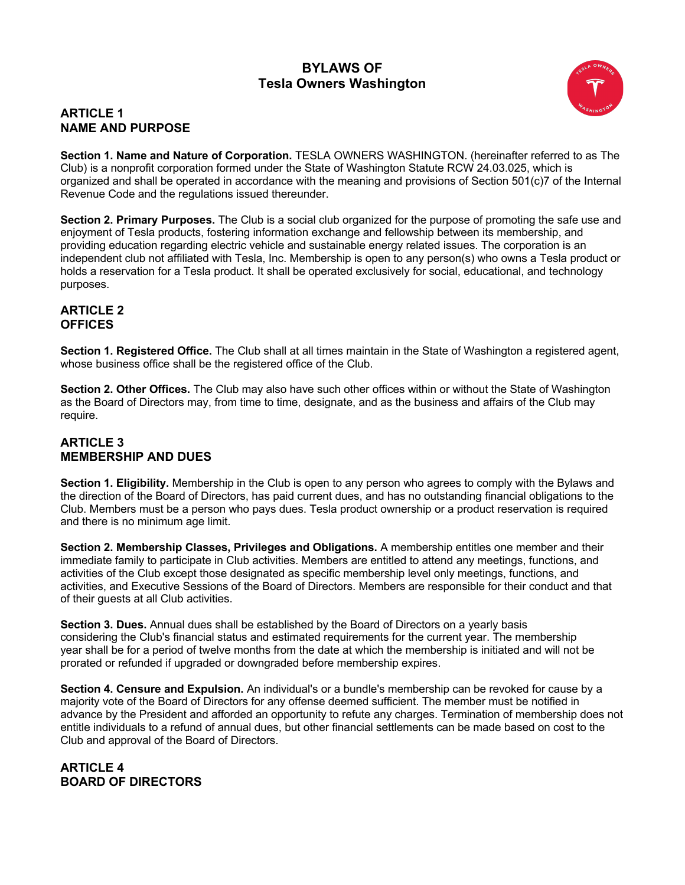# **BYLAWS OF Tesla Owners Washington**

## **ARTICLE 1 NAME AND PURPOSE**

**Section 1. Name and Nature of Corporation.** TESLA OWNERS WASHINGTON. (hereinafter referred to as The Club) is a nonprofit corporation formed under the State of Washington Statute RCW 24.03.025, which is organized and shall be operated in accordance with the meaning and provisions of Section 501(c)7 of the Internal Revenue Code and the regulations issued thereunder.

**Section 2. Primary Purposes.** The Club is a social club organized for the purpose of promoting the safe use and enjoyment of Tesla products, fostering information exchange and fellowship between its membership, and providing education regarding electric vehicle and sustainable energy related issues. The corporation is an independent club not affiliated with Tesla, Inc. Membership is open to any person(s) who owns a Tesla product or holds a reservation for a Tesla product. It shall be operated exclusively for social, educational, and technology purposes.

### **ARTICLE 2 OFFICES**

**Section 1. Registered Office.** The Club shall at all times maintain in the State of Washington a registered agent, whose business office shall be the registered office of the Club.

**Section 2. Other Offices.** The Club may also have such other offices within or without the State of Washington as the Board of Directors may, from time to time, designate, and as the business and affairs of the Club may require.

## **ARTICLE 3 MEMBERSHIP AND DUES**

**Section 1. Eligibility.** Membership in the Club is open to any person who agrees to comply with the Bylaws and the direction of the Board of Directors, has paid current dues, and has no outstanding financial obligations to the Club. Members must be a person who pays dues. Tesla product ownership or a product reservation is required and there is no minimum age limit.

**Section 2. Membership Classes, Privileges and Obligations.** A membership entitles one member and their immediate family to participate in Club activities. Members are entitled to attend any meetings, functions, and activities of the Club except those designated as specific membership level only meetings, functions, and activities, and Executive Sessions of the Board of Directors. Members are responsible for their conduct and that of their guests at all Club activities.

**Section 3. Dues.** Annual dues shall be established by the Board of Directors on a yearly basis considering the Club's financial status and estimated requirements for the current year. The membership year shall be for a period of twelve months from the date at which the membership is initiated and will not be prorated or refunded if upgraded or downgraded before membership expires.

**Section 4. Censure and Expulsion.** An individual's or a bundle's membership can be revoked for cause by a majority vote of the Board of Directors for any offense deemed sufficient. The member must be notified in advance by the President and afforded an opportunity to refute any charges. Termination of membership does not entitle individuals to a refund of annual dues, but other financial settlements can be made based on cost to the Club and approval of the Board of Directors.

## **ARTICLE 4 BOARD OF DIRECTORS**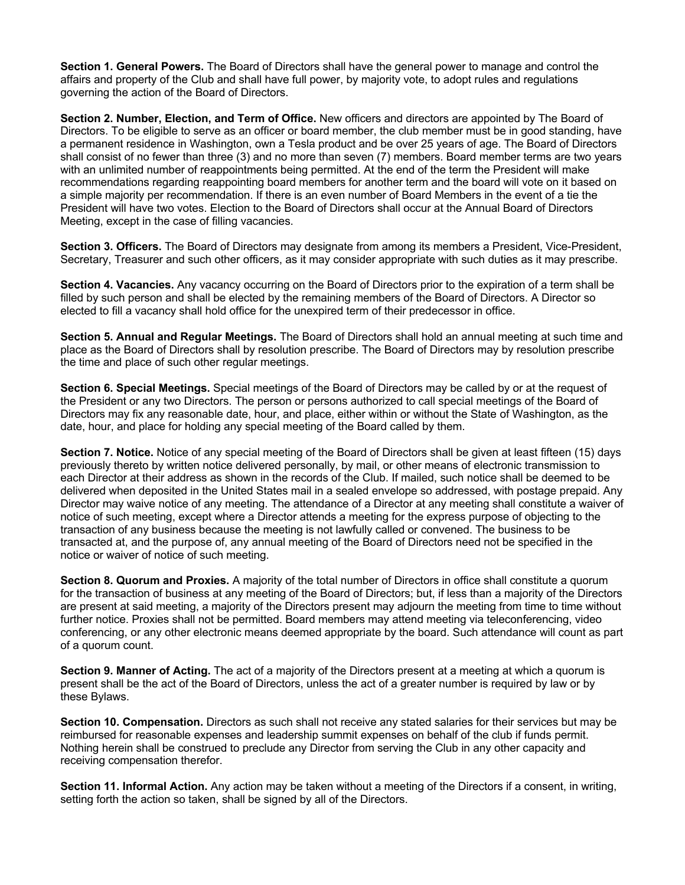**Section 1. General Powers.** The Board of Directors shall have the general power to manage and control the affairs and property of the Club and shall have full power, by majority vote, to adopt rules and regulations governing the action of the Board of Directors.

**Section 2. Number, Election, and Term of Office.** New officers and directors are appointed by The Board of Directors. To be eligible to serve as an officer or board member, the club member must be in good standing, have a permanent residence in Washington, own a Tesla product and be over 25 years of age. The Board of Directors shall consist of no fewer than three (3) and no more than seven (7) members. Board member terms are two years with an unlimited number of reappointments being permitted. At the end of the term the President will make recommendations regarding reappointing board members for another term and the board will vote on it based on a simple majority per recommendation. If there is an even number of Board Members in the event of a tie the President will have two votes. Election to the Board of Directors shall occur at the Annual Board of Directors Meeting, except in the case of filling vacancies.

**Section 3. Officers.** The Board of Directors may designate from among its members a President, Vice-President, Secretary, Treasurer and such other officers, as it may consider appropriate with such duties as it may prescribe.

**Section 4. Vacancies.** Any vacancy occurring on the Board of Directors prior to the expiration of a term shall be filled by such person and shall be elected by the remaining members of the Board of Directors. A Director so elected to fill a vacancy shall hold office for the unexpired term of their predecessor in office.

**Section 5. Annual and Regular Meetings.** The Board of Directors shall hold an annual meeting at such time and place as the Board of Directors shall by resolution prescribe. The Board of Directors may by resolution prescribe the time and place of such other regular meetings.

**Section 6. Special Meetings.** Special meetings of the Board of Directors may be called by or at the request of the President or any two Directors. The person or persons authorized to call special meetings of the Board of Directors may fix any reasonable date, hour, and place, either within or without the State of Washington, as the date, hour, and place for holding any special meeting of the Board called by them.

**Section 7. Notice.** Notice of any special meeting of the Board of Directors shall be given at least fifteen (15) days previously thereto by written notice delivered personally, by mail, or other means of electronic transmission to each Director at their address as shown in the records of the Club. If mailed, such notice shall be deemed to be delivered when deposited in the United States mail in a sealed envelope so addressed, with postage prepaid. Any Director may waive notice of any meeting. The attendance of a Director at any meeting shall constitute a waiver of notice of such meeting, except where a Director attends a meeting for the express purpose of objecting to the transaction of any business because the meeting is not lawfully called or convened. The business to be transacted at, and the purpose of, any annual meeting of the Board of Directors need not be specified in the notice or waiver of notice of such meeting.

**Section 8. Quorum and Proxies.** A majority of the total number of Directors in office shall constitute a quorum for the transaction of business at any meeting of the Board of Directors; but, if less than a majority of the Directors are present at said meeting, a majority of the Directors present may adjourn the meeting from time to time without further notice. Proxies shall not be permitted. Board members may attend meeting via teleconferencing, video conferencing, or any other electronic means deemed appropriate by the board. Such attendance will count as part of a quorum count.

**Section 9. Manner of Acting.** The act of a majority of the Directors present at a meeting at which a quorum is present shall be the act of the Board of Directors, unless the act of a greater number is required by law or by these Bylaws.

**Section 10. Compensation.** Directors as such shall not receive any stated salaries for their services but may be reimbursed for reasonable expenses and leadership summit expenses on behalf of the club if funds permit. Nothing herein shall be construed to preclude any Director from serving the Club in any other capacity and receiving compensation therefor.

**Section 11. Informal Action.** Any action may be taken without a meeting of the Directors if a consent, in writing, setting forth the action so taken, shall be signed by all of the Directors.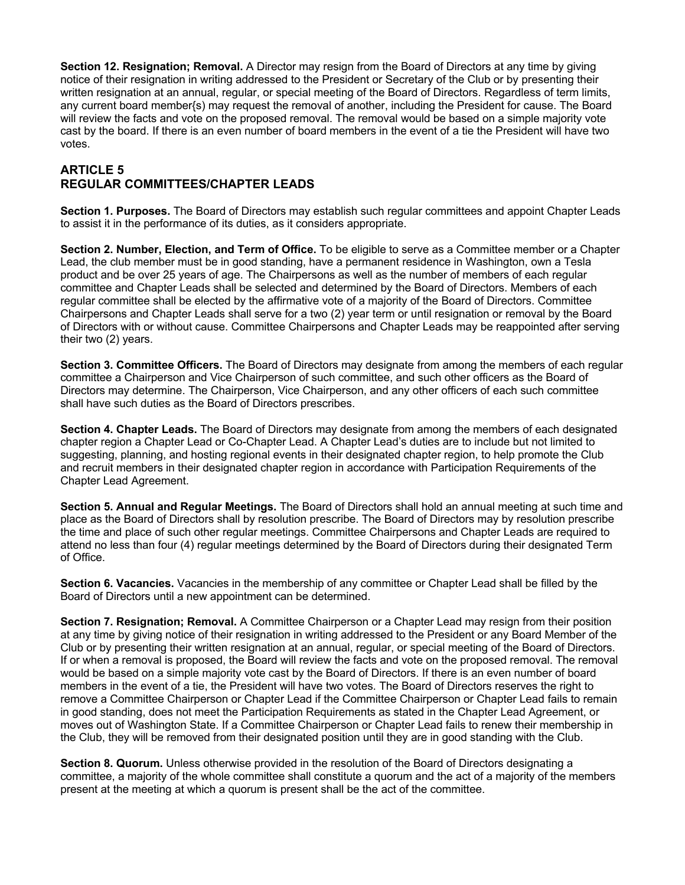**Section 12. Resignation; Removal.** A Director may resign from the Board of Directors at any time by giving notice of their resignation in writing addressed to the President or Secretary of the Club or by presenting their written resignation at an annual, regular, or special meeting of the Board of Directors. Regardless of term limits, any current board member{s) may request the removal of another, including the President for cause. The Board will review the facts and vote on the proposed removal. The removal would be based on a simple majority vote cast by the board. If there is an even number of board members in the event of a tie the President will have two votes.

## **ARTICLE 5 REGULAR COMMITTEES/CHAPTER LEADS**

**Section 1. Purposes.** The Board of Directors may establish such regular committees and appoint Chapter Leads to assist it in the performance of its duties, as it considers appropriate.

**Section 2. Number, Election, and Term of Office.** To be eligible to serve as a Committee member or a Chapter Lead, the club member must be in good standing, have a permanent residence in Washington, own a Tesla product and be over 25 years of age. The Chairpersons as well as the number of members of each regular committee and Chapter Leads shall be selected and determined by the Board of Directors. Members of each regular committee shall be elected by the affirmative vote of a majority of the Board of Directors. Committee Chairpersons and Chapter Leads shall serve for a two (2) year term or until resignation or removal by the Board of Directors with or without cause. Committee Chairpersons and Chapter Leads may be reappointed after serving their two (2) years.

**Section 3. Committee Officers.** The Board of Directors may designate from among the members of each regular committee a Chairperson and Vice Chairperson of such committee, and such other officers as the Board of Directors may determine. The Chairperson, Vice Chairperson, and any other officers of each such committee shall have such duties as the Board of Directors prescribes.

**Section 4. Chapter Leads.** The Board of Directors may designate from among the members of each designated chapter region a Chapter Lead or Co-Chapter Lead. A Chapter Lead's duties are to include but not limited to suggesting, planning, and hosting regional events in their designated chapter region, to help promote the Club and recruit members in their designated chapter region in accordance with Participation Requirements of the Chapter Lead Agreement.

**Section 5. Annual and Regular Meetings.** The Board of Directors shall hold an annual meeting at such time and place as the Board of Directors shall by resolution prescribe. The Board of Directors may by resolution prescribe the time and place of such other regular meetings. Committee Chairpersons and Chapter Leads are required to attend no less than four (4) regular meetings determined by the Board of Directors during their designated Term of Office.

**Section 6. Vacancies.** Vacancies in the membership of any committee or Chapter Lead shall be filled by the Board of Directors until a new appointment can be determined.

**Section 7. Resignation; Removal.** A Committee Chairperson or a Chapter Lead may resign from their position at any time by giving notice of their resignation in writing addressed to the President or any Board Member of the Club or by presenting their written resignation at an annual, regular, or special meeting of the Board of Directors. If or when a removal is proposed, the Board will review the facts and vote on the proposed removal. The removal would be based on a simple majority vote cast by the Board of Directors. If there is an even number of board members in the event of a tie, the President will have two votes. The Board of Directors reserves the right to remove a Committee Chairperson or Chapter Lead if the Committee Chairperson or Chapter Lead fails to remain in good standing, does not meet the Participation Requirements as stated in the Chapter Lead Agreement, or moves out of Washington State. If a Committee Chairperson or Chapter Lead fails to renew their membership in the Club, they will be removed from their designated position until they are in good standing with the Club.

**Section 8. Quorum.** Unless otherwise provided in the resolution of the Board of Directors designating a committee, a majority of the whole committee shall constitute a quorum and the act of a majority of the members present at the meeting at which a quorum is present shall be the act of the committee.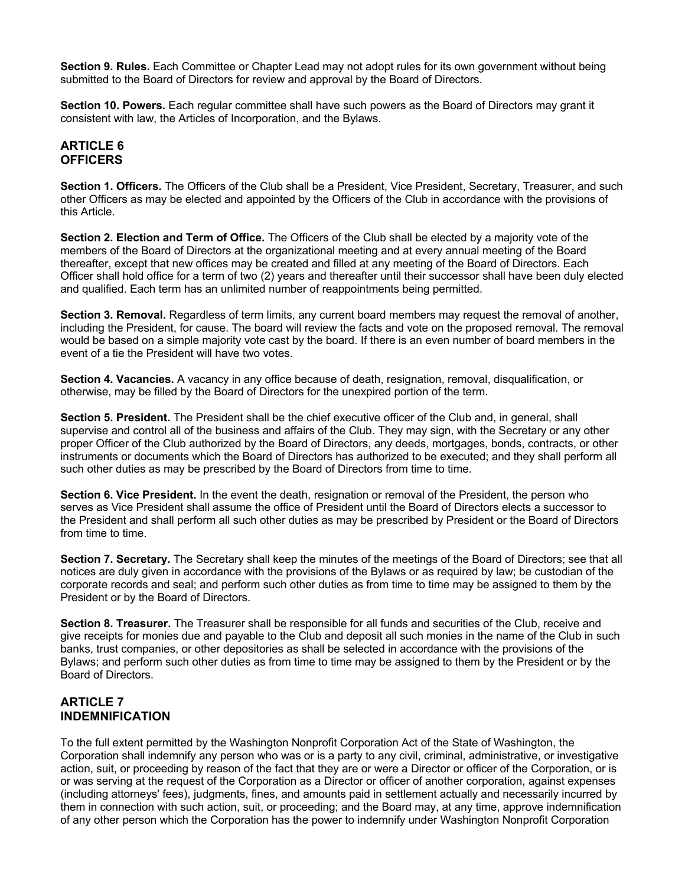**Section 9. Rules.** Each Committee or Chapter Lead may not adopt rules for its own government without being submitted to the Board of Directors for review and approval by the Board of Directors.

**Section 10. Powers.** Each regular committee shall have such powers as the Board of Directors may grant it consistent with law, the Articles of Incorporation, and the Bylaws.

#### **ARTICLE 6 OFFICERS**

**Section 1. Officers.** The Officers of the Club shall be a President, Vice President, Secretary, Treasurer, and such other Officers as may be elected and appointed by the Officers of the Club in accordance with the provisions of this Article.

**Section 2. Election and Term of Office.** The Officers of the Club shall be elected by a majority vote of the members of the Board of Directors at the organizational meeting and at every annual meeting of the Board thereafter, except that new offices may be created and filled at any meeting of the Board of Directors. Each Officer shall hold office for a term of two (2) years and thereafter until their successor shall have been duly elected and qualified. Each term has an unlimited number of reappointments being permitted.

**Section 3. Removal.** Regardless of term limits, any current board members may request the removal of another, including the President, for cause. The board will review the facts and vote on the proposed removal. The removal would be based on a simple majority vote cast by the board. If there is an even number of board members in the event of a tie the President will have two votes.

**Section 4. Vacancies.** A vacancy in any office because of death, resignation, removal, disqualification, or otherwise, may be filled by the Board of Directors for the unexpired portion of the term.

**Section 5. President.** The President shall be the chief executive officer of the Club and, in general, shall supervise and control all of the business and affairs of the Club. They may sign, with the Secretary or any other proper Officer of the Club authorized by the Board of Directors, any deeds, mortgages, bonds, contracts, or other instruments or documents which the Board of Directors has authorized to be executed; and they shall perform all such other duties as may be prescribed by the Board of Directors from time to time.

**Section 6. Vice President.** In the event the death, resignation or removal of the President, the person who serves as Vice President shall assume the office of President until the Board of Directors elects a successor to the President and shall perform all such other duties as may be prescribed by President or the Board of Directors from time to time.

**Section 7. Secretary.** The Secretary shall keep the minutes of the meetings of the Board of Directors; see that all notices are duly given in accordance with the provisions of the Bylaws or as required by law; be custodian of the corporate records and seal; and perform such other duties as from time to time may be assigned to them by the President or by the Board of Directors.

**Section 8. Treasurer.** The Treasurer shall be responsible for all funds and securities of the Club, receive and give receipts for monies due and payable to the Club and deposit all such monies in the name of the Club in such banks, trust companies, or other depositories as shall be selected in accordance with the provisions of the Bylaws; and perform such other duties as from time to time may be assigned to them by the President or by the Board of Directors.

### **ARTICLE 7 INDEMNIFICATION**

To the full extent permitted by the Washington Nonprofit Corporation Act of the State of Washington, the Corporation shall indemnify any person who was or is a party to any civil, criminal, administrative, or investigative action, suit, or proceeding by reason of the fact that they are or were a Director or officer of the Corporation, or is or was serving at the request of the Corporation as a Director or officer of another corporation, against expenses (including attorneys' fees), judgments, fines, and amounts paid in settlement actually and necessarily incurred by them in connection with such action, suit, or proceeding; and the Board may, at any time, approve indemnification of any other person which the Corporation has the power to indemnify under Washington Nonprofit Corporation